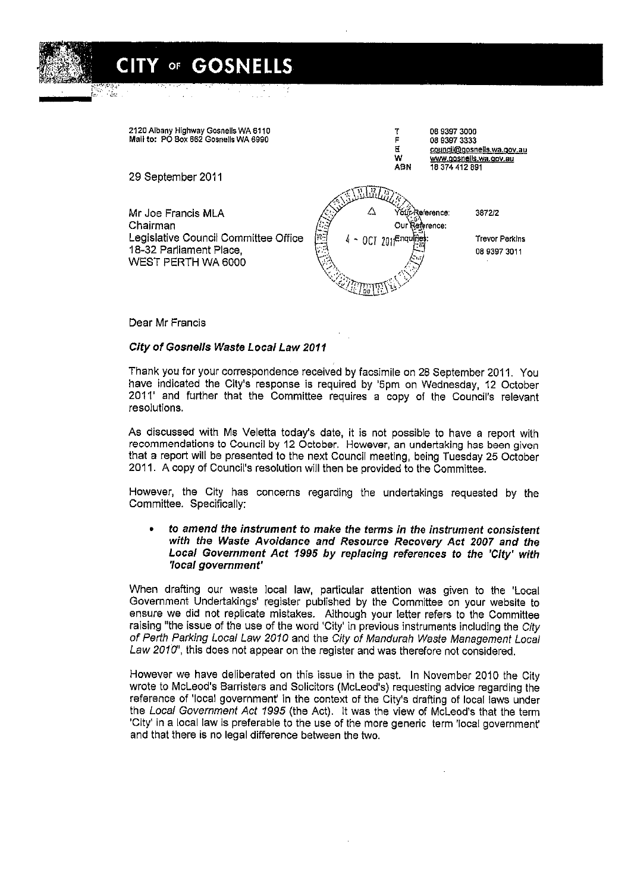

Dear Mr Francis

\*","~:,. . @;nineae;

^

\*

## City of Gosnells Waste Local Law 2011

Y of GOSNELLS

Thank you for your correspondence received by facsimile on 28 September 2011. You 2011' and further that the Committee requires a copy of the Council's relevant resolutions.

As discussed with Ms Veletta today's date, it is not possible to have a report with recommendations to Council by 12 October. However, an undertaking has been given that a report will be presented to the next Council meeting, being Tuesday 25 October 2011. A copy of Council's resolution will then be provided to the Committee.

However, the City has concerns regarding the undertakings requested by the Committee. Specifically:

## . to amend the instrument to make the terms in the instrument consistent with the Waste Avoidance and Resource Recovery Act 2007 and the Local Government Act 7995 by replacing references to the 'City' with 'local government'

When drafting our waste local law, particular attention was given to the Local Government Undertakings' register published by the Committee on your website to ensure we did not replicate mistakes. Although your letter refers to the Committee raising "the issue of the use of the word 'City' in previous instruments including the City of Perth Parking Local Law 2010 and the City of Mandurah Waste Management Local<br>Law 2010", this does not appear on the register and was therefore not considered.

However we have deliberated on this issue in the past. In November 2010 the City wrote to MCLeod's Barristers and Solicitors (MCLeod's) requesting advice regarding the reference of 'local government'in the context of the City's drafting of local laws under the Local Government Act 1995 (the Act). It was the view of McLeod's that the term 'City' in a local law is preferable to the use of the more generic term 'local government' and that there is no legal difference between the two.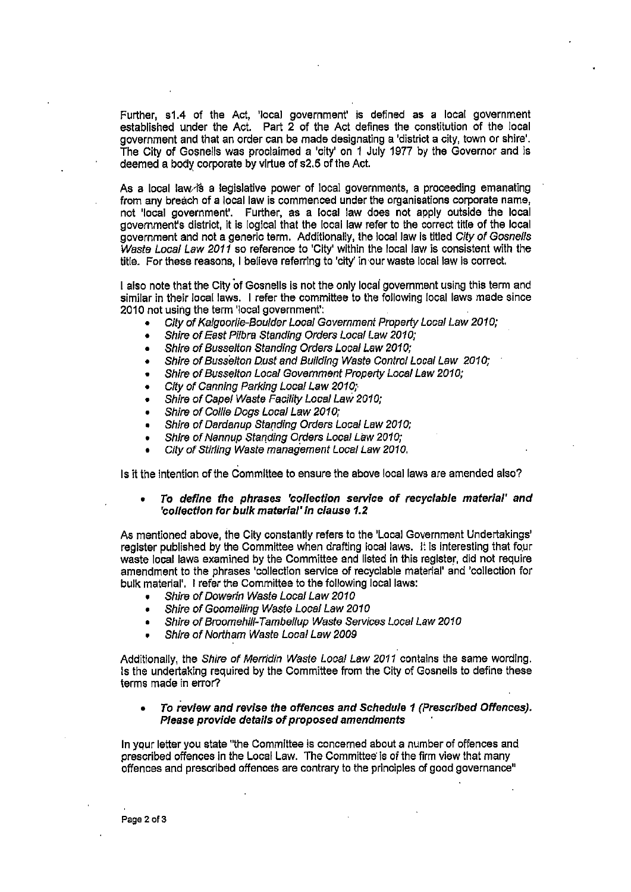runner, sh.4 of the Act, local government is defined as a local government<br>established under the Act. Part 2 of the Act defines the constitution of the local government and that an order can be made designating a 'district a city, town or shire'. The City of Gosnells was proclaimed a 'city' on I July 1977 by the Governor and is deemed a body corporate by vlrtue of s2.5 of the Act.

As a local law is a legislative power of local governments, a proceeding emanating from any breach of a local law is commenced under the organisations corporate name, not 'local government'. Further, as a local law does not apply outside the local government's district, it is logical that the local law refer to the correct title of the local government and not a generic term. Additionally, the local law is titled City of Gosnells Waste Local Law 2011 so reference to 'City' within the local law is consistent with the title. For these reasons, I believe referring to 'city' in our waste local law is correct.

I also note that the City of Gosnells is not the only local government using this term and similar in their local laws. I refer the committee to the following local laws made since 2010 not using the term 'local government':

- City of Kalgoorlie-Boulder Local Government Property Local Law 2010;
- Shire of East Pilbra Standing Orders Local Law 2010;
- Shire of Busselton Standing Orders Local Law 2010:
- Shire of Busselton Dust and Building Waste Control Local Law 2010;
- Shire of Busselton Local Government Property Local Law 2010;
- City of Canning Parking Local Law 2010;
- . Shire of CapelWaste Facility Local Law20fO;
- Shire of Collie Dogs Local Law 2010;
- . Shire of Oardanup Standing Orders Local Law20fO;
- Shire of Nannup Standing Orders Local Law 2010;
- City of Stirling Waste management Local Law 2010,

Is it the intention of the Committee to ensure the above local laws are amended also?

To define the phrases 'collection service of recyclable material' and **'collection for bulk material' in clause 1.2** 

As mentioned above, the City constantly refers to the 'Local Government Undertakings' register published by the Committee when drafting local laws. It is interesting that four waste local laws examined by the Committee and 11sted in this register, did not require amendment to the phrases 'collection service of recyclable material' and 'collection for bulk material'. I refer the Committee to the following local laws:

- Shire of Dowerin Waste Local Law 2010
- Shire of Goomalling Waste Local Law 2010
- . Shire of Broomehilf-Tambellup Waste Services Local Law20fO
- Shire of Northam Waste Local Law 2009

Additionally, the Shire of Merridin Waste Local Law 2011 contains the same wording. Is the undertaking required by the Committee from the City of Gosnells to define these terms made in error'?

## To review and revise the offences and Schedule 1 (Prescribed Offences). Please provide details of proposed amendments

In your letter you state "the Committee is concerned about a number of offences and prescribed offences in the Local Law, The Committee'is of the firm view that many offences and prescribed offences are contrary to the principles of good governance"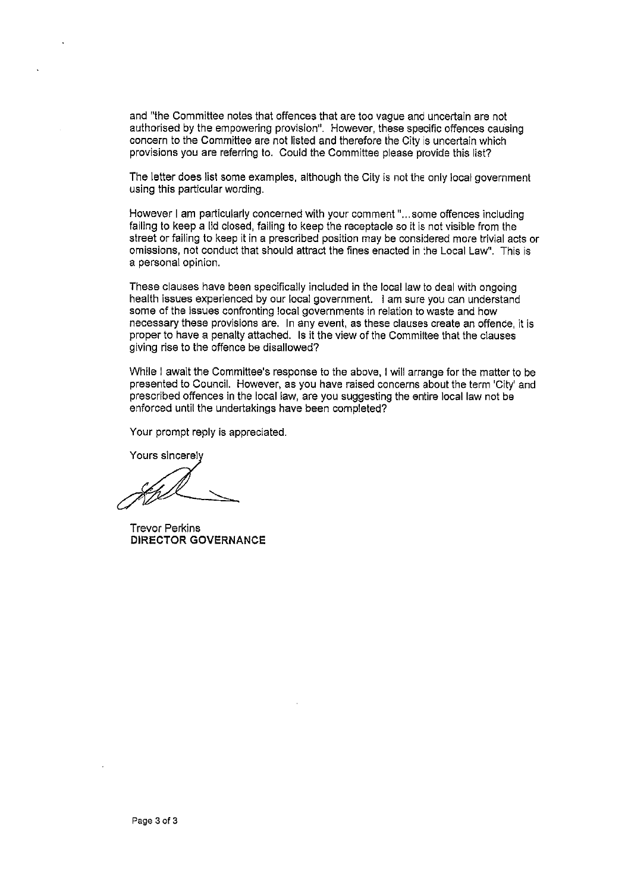and "the Committee notes that offences that are too vague and uncertain are not authorised by the empowering provision". However, these specific offences causing concern to the Committee are not listed and therefore the City is uncertain which provisions you are referring to. Could the Committee please provide this list?

The letter does list some examples, although the City is not the only local government using this particular wording.

However I am particularly concerned with your comment"... some offences including failing to keep a lid closed, failing to keep the receptacle so it is not visible from the street or failing to keep it in a prescribed position may be considered more trivial acts or omissions, not conduct that should attract the fines enacted in the Local Law". This is a personal opinion.

These clauses have been specifically included in the local law to deal with ongoing health issues experienced by our local government. I am sure you can understand some of the issues confronting local governments in relation to waste and how necessary these provisions are. In any event, as these clauses create an offence, it is proper to have a penalty attached. Is it the view of the Committee that the clauses giving rise to the offence be disallowed?

While I await the Committee's response to the above, I will arrange for the matter to be presented to Council. However, as you have raised concerns aboutthe term City' and prescribed offences in the local law, are you suggesting the entire local law not be enforced until the undertakings have been completed?

Your prompt reply is appreciated.

Yours sincerel

Trevor Perkins DIRECTOR GOVERNANCE